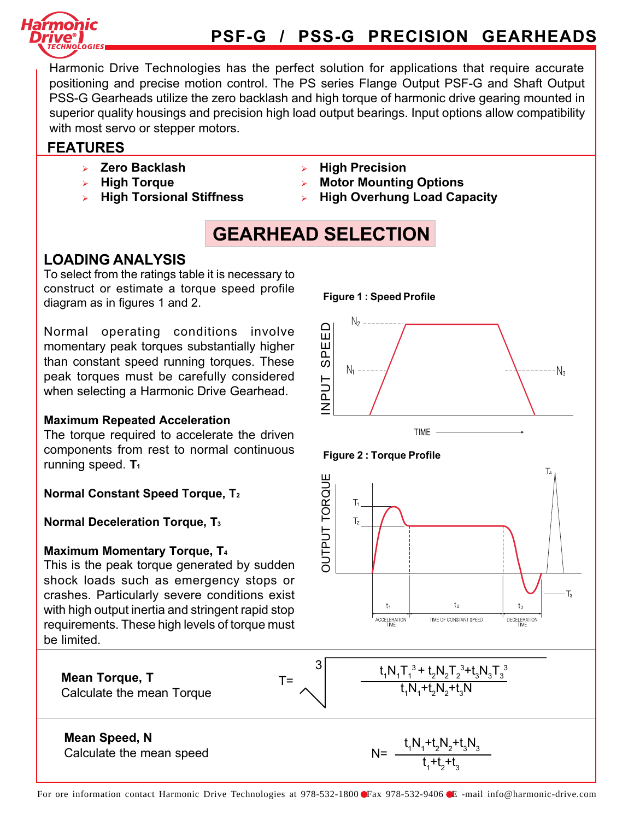

# PSF-G / PSS-G PRECISION GEARHEADS

Harmonic Drive Technologies has the perfect solution for applications that require accurate positioning and precise motion control. The PS series Flange Output PSF-G and Shaft Output PSS-G Gearheads utilize the zero backlash and high torque of harmonic drive gearing mounted in superior quality housings and precision high load output bearings. Input options allow compatibility with most servo or stepper motors.

### FEATURES

- $\triangleright$  Zero Backlash
- $\triangleright$  High Torque
- $\triangleright$  High Torsional Stiffness
- **High Precision**
- **Motor Mounting Options**
- **High Overhung Load Capacity**

Figure 1 : Speed Profile

# GEARHEAD SELECTION

### LOADING ANALYSIS

To select from the ratings table it is necessary to construct or estimate a torque speed profile diagram as in figures 1 and 2.

Normal operating conditions involve momentary peak torques substantially higher than constant speed running torques. These peak torques must be carefully considered when selecting a Harmonic Drive Gearhead.

#### Maximum Repeated Acceleration

The torque required to accelerate the driven components from rest to normal continuous running speed.  $T_1$ 

Normal Constant Speed Torque, T2

Normal Deceleration Torque, T3

#### Maximum Momentary Torque, T4

This is the peak torque generated by sudden shock loads such as emergency stops or crashes. Particularly severe conditions exist with high output inertia and stringent rapid stop requirements. These high levels of torque must be limited.







 $t_1N_1T_1^3 + t_2N_2T_2^3 + t_3N_3T_3^3$ 

 $t_1N_1 + t_2N_2 + t_3N_3$  $t_1 + t_2 + t_3$ 

+ $t_{3}$ 

t 1  $\mathsf{N}_1$ + $t_{2}N_{2}$ 

**Mean Torque, T**<br>Calculate the mean Torque  $T = \bigwedge \begin{matrix} T = \bigcup_{t_1, t_1 + \cdots + t_n = t_1 N_1 + t_2 N_2 + t_3 N_3 N_4 \end{matrix}$ 

#### Mean Speed, N Calculate the mean speed

3

T=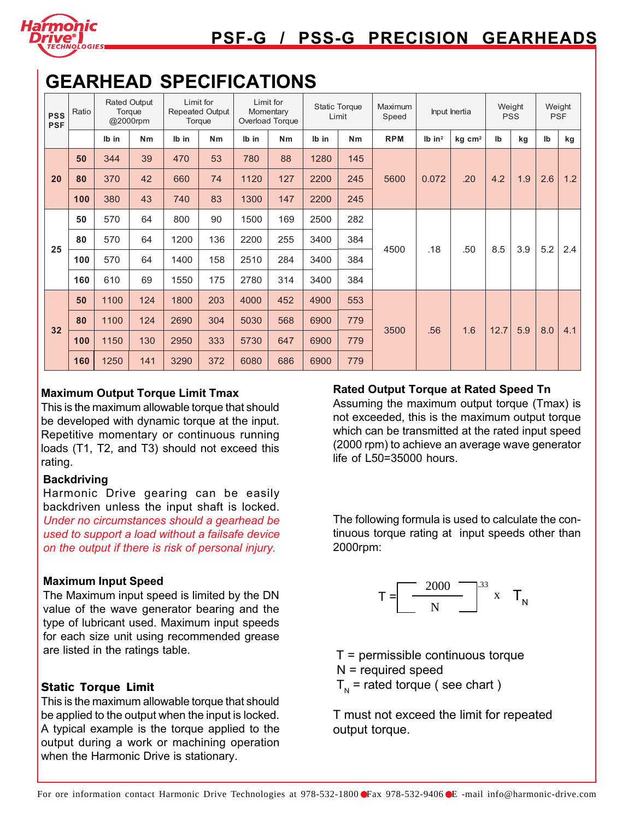

# GEARHEAD SPECIFICATIONS

| <b>PSS</b><br><b>PSF</b> | Ratio | <b>Rated Output</b><br>Torque<br>@2000rpm |     | Limit for<br><b>Repeated Output</b><br>Torque |     | Limit for<br>Momentary<br>Overload Torque |     | <b>Static Torque</b><br>Limit |     | Maximum<br>Input Inertia<br>Speed |                      | Weight<br><b>PSS</b> |                           | Weight<br><b>PSF</b> |     |     |
|--------------------------|-------|-------------------------------------------|-----|-----------------------------------------------|-----|-------------------------------------------|-----|-------------------------------|-----|-----------------------------------|----------------------|----------------------|---------------------------|----------------------|-----|-----|
|                          |       | Ib in                                     | Nm  | Ib in                                         | Nm  | Ib in                                     | Nm  | Ib in                         | Nm  | <b>RPM</b>                        | $Ib$ in <sup>2</sup> | $kg$ cm <sup>2</sup> | $\mathsf{I}^{\mathsf{b}}$ | kg                   | lb  | kg  |
|                          | 50    | 344                                       | 39  | 470                                           | 53  | 780                                       | 88  | 1280                          | 145 | 5600                              | 0.072                | .20                  | 4.2                       | 1.9                  | 2.6 | 1.2 |
| 20                       | 80    | 370                                       | 42  | 660                                           | 74  | 1120                                      | 127 | 2200                          | 245 |                                   |                      |                      |                           |                      |     |     |
|                          | 100   | 380                                       | 43  | 740                                           | 83  | 1300                                      | 147 | 2200                          | 245 |                                   |                      |                      |                           |                      |     |     |
|                          | 50    | 570                                       | 64  | 800                                           | 90  | 1500                                      | 169 | 2500                          | 282 | 4500                              | .18                  | .50                  | 8.5                       | 3.9                  | 5.2 |     |
|                          | 80    | 570                                       | 64  | 1200                                          | 136 | 2200                                      | 255 | 3400                          | 384 |                                   |                      |                      |                           |                      |     | 2.4 |
| 25                       | 100   | 570                                       | 64  | 1400                                          | 158 | 2510                                      | 284 | 3400                          | 384 |                                   |                      |                      |                           |                      |     |     |
|                          | 160   | 610                                       | 69  | 1550                                          | 175 | 2780                                      | 314 | 3400                          | 384 |                                   |                      |                      |                           |                      |     |     |
|                          | 50    | 1100                                      | 124 | 1800                                          | 203 | 4000                                      | 452 | 4900                          | 553 |                                   | .56                  | 1.6                  | 12.7                      | 5.9                  | 8.0 | 4.1 |
|                          | 80    | 1100                                      | 124 | 2690                                          | 304 | 5030                                      | 568 | 6900                          | 779 |                                   |                      |                      |                           |                      |     |     |
| 32                       | 100   | 1150                                      | 130 | 2950                                          | 333 | 5730                                      | 647 | 6900                          | 779 | 3500                              |                      |                      |                           |                      |     |     |
|                          | 160   | 1250                                      | 141 | 3290                                          | 372 | 6080                                      | 686 | 6900                          | 779 |                                   |                      |                      |                           |                      |     |     |

#### Maximum Output Torque Limit Tmax

This is the maximum allowable torque that should be developed with dynamic torque at the input. Repetitive momentary or continuous running loads (T1, T2, and T3) should not exceed this rating.

#### **Backdriving**

Harmonic Drive gearing can be easily backdriven unless the input shaft is locked. Under no circumstances should a gearhead be used to support a load without a failsafe device on the output if there is risk of personal injury.

#### Maximum Input Speed

The Maximum input speed is limited by the DN value of the wave generator bearing and the type of lubricant used. Maximum input speeds for each size unit using recommended grease are listed in the ratings table.

#### **Static Torque Limit**

This is the maximum allowable torque that should be applied to the output when the input is locked. A typical example is the torque applied to the output during a work or machining operation when the Harmonic Drive is stationary.

#### Rated Output Torque at Rated Speed Tn

Assuming the maximum output torque (Tmax) is not exceeded, this is the maximum output torque which can be transmitted at the rated input speed (2000 rpm) to achieve an average wave generator life of L50=35000 hours.

The following formula is used to calculate the continuous torque rating at input speeds other than 2000rpm:



 $T =$  permissible continuous torque N = required speed

 $T_{N}$  = rated torque ( see chart )

T must not exceed the limit for repeated output torque.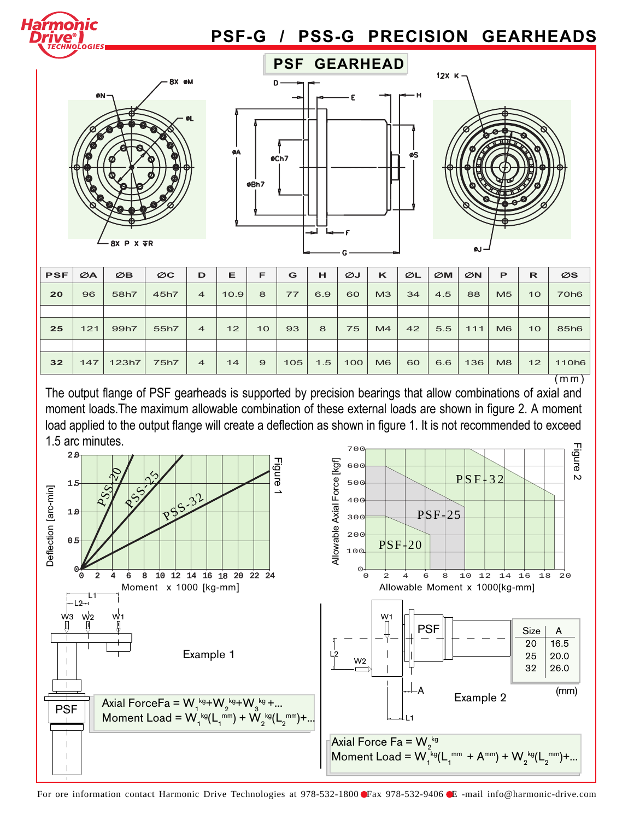







| <b>PSF</b> | ØA  | ØB    | $\varnothing$ C | D              | Е    | F  | G   | н   | ØJ  | ĸ              | ØL | $\varnothing$ M | ØN  | P              | R               | ØS                 |
|------------|-----|-------|-----------------|----------------|------|----|-----|-----|-----|----------------|----|-----------------|-----|----------------|-----------------|--------------------|
| 20         | 96  | 58h7  | 45h7            | $\overline{4}$ | 10.9 | 8  | 77  | 6.9 | 60  | M <sub>3</sub> | 34 | 4.5             | 88  | M <sub>5</sub> | 10 <sup>°</sup> | 70h <sub>6</sub>   |
|            |     |       |                 |                |      |    |     |     |     |                |    |                 |     |                |                 |                    |
| 25         | 121 | 99h7  | 55h7            | $\overline{4}$ | 12   | 10 | 93  | 8   | 75  | M4             | 42 | 5.5             | 111 | M <sub>6</sub> | 10              | 85h6               |
|            |     |       |                 |                |      |    |     |     |     |                |    |                 |     |                |                 |                    |
| 32         | 147 | 123h7 | 75h7            | $\overline{4}$ | 14   | 9  | 105 | 1.5 | 100 | M <sub>6</sub> | 60 | 6.6             | 136 | M8             | 12              | 110 <sub>h</sub> 6 |
|            |     |       |                 |                |      |    |     |     |     |                |    |                 |     |                |                 | mm)                |

The output flange of PSF gearheads is supported by precision bearings that allow combinations of axial and moment loads.The maximum allowable combination of these external loads are shown in figure 2. A moment load applied to the output flange will create a deflection as shown in figure 1. It is not recommended to exceed 1.5 arc minutes.



For ore information contact Harmonic Drive Technologies at 978-532-1800 Fax 978-532-9406 E -mail info@harmonic-drive.com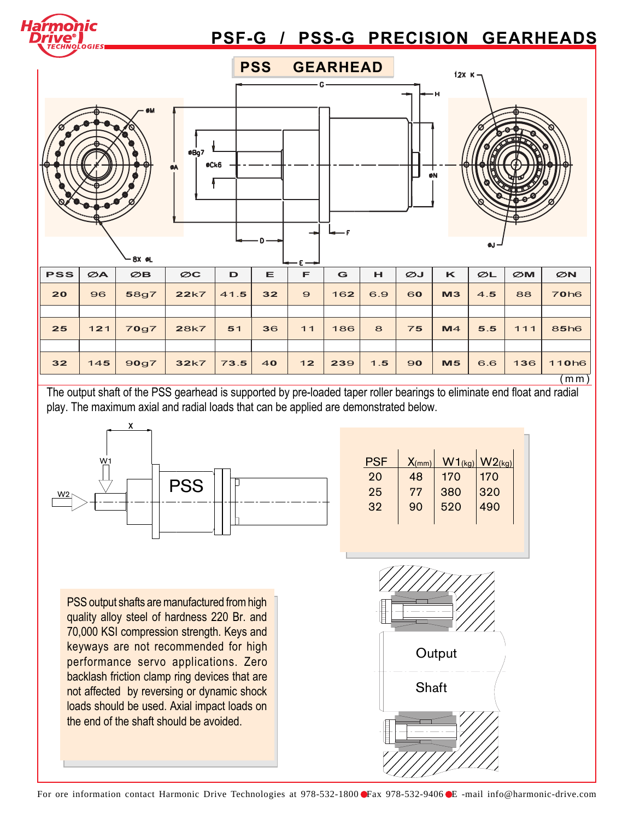

The output shaft of the PSS gearhead is supported by pre-loaded taper roller bearings to eliminate end float and radial play. The maximum axial and radial loads that can be applied are demonstrated below.



| <b>PSF</b> | $X_{(mm)}$ | $W1_{(kg)}$ | W2(kg) |
|------------|------------|-------------|--------|
| 20         | 48         | 170         | 170    |
| 25         | 77         | 380         | 320    |
| 32         | 90         | 520         | 490    |
|            |            |             |        |

PSS output shafts are manufactured from high quality alloy steel of hardness 220 Br. and 70,000 KSI compression strength. Keys and keyways are not recommended for high performance servo applications. Zero backlash friction clamp ring devices that are not affected by reversing or dynamic shock loads should be used. Axial impact loads on the end of the shaft should be avoided.

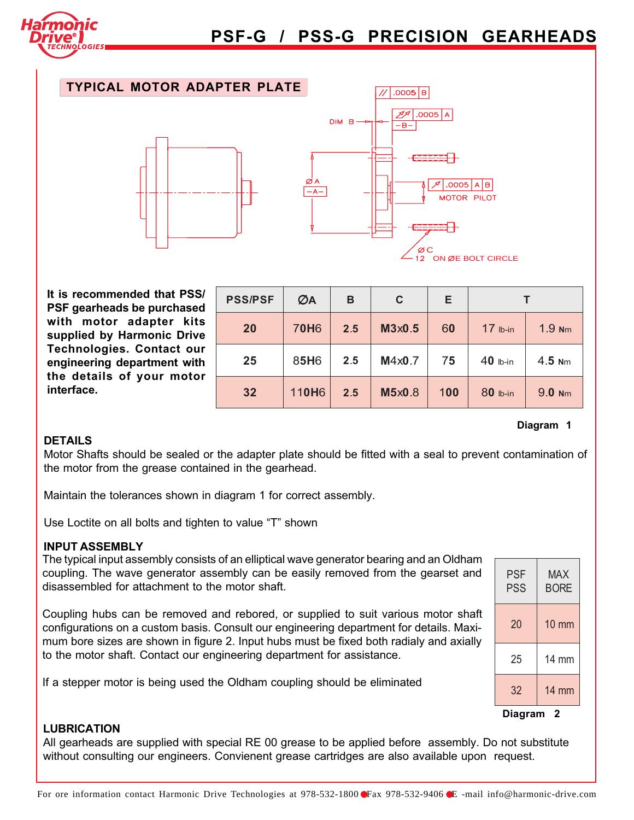

## PSF-G / PSS-G PRECISION GEARHEADS

#### TYPICAL MOTOR ADAPTER PLATE



It is recommended that PSS/ PSF gearheads be purchased with motor adapter kits supplied by Harmonic Drive Technologies. Contact our engineering department with the details of your motor interface.

| <b>PSS/PSF</b> | ØA                | B   | C      | Е   |            |          |  |  |
|----------------|-------------------|-----|--------|-----|------------|----------|--|--|
| 20             | <b>70H6</b>       | 2.5 | M3x0.5 | 60  | $17$ lb-in | 1.9 Nm   |  |  |
| 25             | 85H6              | 2.5 | M4x0.7 | 75  | $40$ lb-in | $4.5$ Nm |  |  |
| 32             | 110H <sub>6</sub> | 2.5 | M5x0.8 | 100 | 80 lb-in   | 9.0 Nm   |  |  |

#### **DETAILS**

Motor Shafts should be sealed or the adapter plate should be fitted with a seal to prevent contamination of the motor from the grease contained in the gearhead.

Maintain the tolerances shown in diagram 1 for correct assembly.

Use Loctite on all bolts and tighten to value "T" shown

#### INPUT ASSEMBLY

The typical input assembly consists of an elliptical wave generator bearing and an Oldham coupling. The wave generator assembly can be easily removed from the gearset and disassembled for attachment to the motor shaft.

Coupling hubs can be removed and rebored, or supplied to suit various motor shaft configurations on a custom basis. Consult our engineering department for details. Maximum bore sizes are shown in figure 2. Input hubs must be fixed both radialy and axially to the motor shaft. Contact our engineering department for assistance.

If a stepper motor is being used the Oldham coupling should be eliminated

| <b>PSF</b><br>PSS | <b>MAX</b><br><b>BORE</b> |  |  |  |  |  |
|-------------------|---------------------------|--|--|--|--|--|
| 20                | <b>10 mm</b>              |  |  |  |  |  |
| 25                | 14 mm                     |  |  |  |  |  |
| 32                | 14 mm                     |  |  |  |  |  |
| Diagram           |                           |  |  |  |  |  |

Diagram 1

#### LUBRICATION

All gearheads are supplied with special RE 00 grease to be applied before assembly. Do not substitute without consulting our engineers. Convienent grease cartridges are also available upon request.